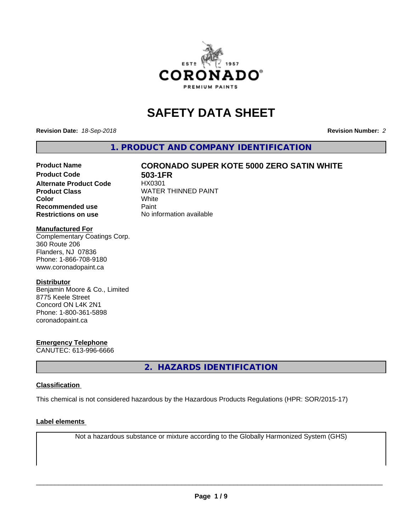

# **SAFETY DATA SHEET**

**Revision Date:** *18-Sep-2018* **Revision Number:** *2*

**1. PRODUCT AND COMPANY IDENTIFICATION**

### **Product Name CORONADO SUPER KOTE 5000 ZERO SATIN WHITE**

**Product Code 61 503-1 FR**<br>Alternate Product Code 61 HX0301 **Alternate Product Code Recommended use** Paint **Restrictions on use** No information available

**Product Class** WATER THINNED PAINT<br>
Color **Color** White White

#### **Manufactured For**

Complementary Coatings Corp. 360 Route 206 Flanders, NJ 07836 Phone: 1-866-708-9180 www.coronadopaint.ca

#### **Distributor**

Benjamin Moore & Co., Limited 8775 Keele Street Concord ON L4K 2N1 Phone: 1-800-361-5898 coronadopaint.ca

#### **Emergency Telephone**

CANUTEC: 613-996-6666

**2. HAZARDS IDENTIFICATION**

#### **Classification**

This chemical is not considered hazardous by the Hazardous Products Regulations (HPR: SOR/2015-17)

#### **Label elements**

Not a hazardous substance or mixture according to the Globally Harmonized System (GHS)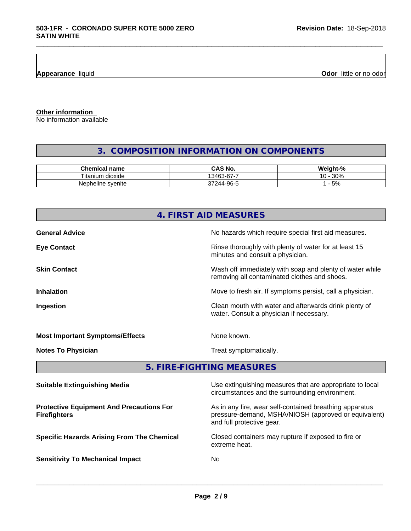**Appearance** liquid

**Odor** little or no odor

**Other information**

No information available

#### **3. COMPOSITION INFORMATION ON COMPONENTS**

\_\_\_\_\_\_\_\_\_\_\_\_\_\_\_\_\_\_\_\_\_\_\_\_\_\_\_\_\_\_\_\_\_\_\_\_\_\_\_\_\_\_\_\_\_\_\_\_\_\_\_\_\_\_\_\_\_\_\_\_\_\_\_\_\_\_\_\_\_\_\_\_\_\_\_\_\_\_\_\_\_\_\_\_\_\_\_\_\_\_\_\_\_

| Chemical<br>name                    | <b>NC</b><br>ں                     | <br>C.<br>Mainh<br>$\sqrt{2}$ |
|-------------------------------------|------------------------------------|-------------------------------|
| <br>÷.<br>ı dioxide<br>itani<br>ium | -<br>$\sim$<br>3463<br>ั⊀-ค<br>ບບ  | 200<br>ໍດ<br>3U%<br>. U       |
| Nepheline svenite                   | .OG<br>$\sim$<br>$\Delta$<br>$-11$ | 5%                            |

# **4. FIRST AID MEASURES General Advice General Advice No hazards which require special first aid measures. Eye Contact Exercise 20 All 20 All 20 All 20 All 20 All 20 All 20 All 20 All 20 All 20 All 20 All 20 All 20 All 20 All 20 All 20 All 20 All 20 All 20 All 20 All 20 All 20 All 20 All 20 All 20 All 20 All 20 All 20 All 20** minutes and consult a physician. **Skin Contact** Same of the Mash off immediately with soap and plenty of water while removing all contaminated clothes and shoes. **Inhalation** Move to fresh air. If symptoms persist, call a physician. **Ingestion Ingestion Clean mouth with water and afterwards drink plenty of** water. Consult a physician if necessary. **Most Important Symptoms/Effects** None known. **Notes To Physician** Motes To Physician Treat symptomatically. **5. FIRE-FIGHTING MEASURES**

| <b>Suitable Extinguishing Media</b>                                    | Use extinguishing measures that are appropriate to local<br>circumstances and the surrounding environment.                                   |
|------------------------------------------------------------------------|----------------------------------------------------------------------------------------------------------------------------------------------|
| <b>Protective Equipment And Precautions For</b><br><b>Firefighters</b> | As in any fire, wear self-contained breathing apparatus<br>pressure-demand, MSHA/NIOSH (approved or equivalent)<br>and full protective gear. |
| <b>Specific Hazards Arising From The Chemical</b>                      | Closed containers may rupture if exposed to fire or<br>extreme heat.                                                                         |
| <b>Sensitivity To Mechanical Impact</b>                                | No.                                                                                                                                          |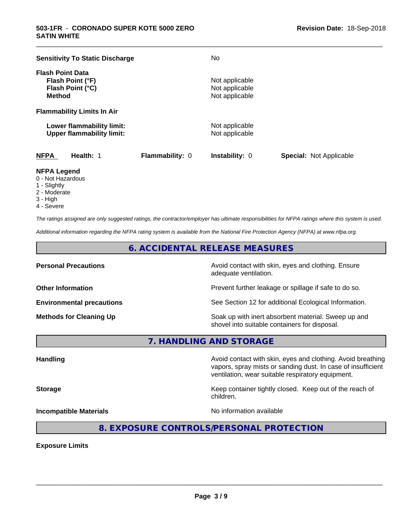| <b>Sensitivity To Static Discharge</b>                                           |                        | No                                                 |                                |
|----------------------------------------------------------------------------------|------------------------|----------------------------------------------------|--------------------------------|
| <b>Flash Point Data</b><br>Flash Point (°F)<br>Flash Point (°C)<br><b>Method</b> |                        | Not applicable<br>Not applicable<br>Not applicable |                                |
| <b>Flammability Limits In Air</b>                                                |                        |                                                    |                                |
| Lower flammability limit:<br><b>Upper flammability limit:</b>                    |                        | Not applicable<br>Not applicable                   |                                |
| <b>NFPA</b><br>Health: 1                                                         | <b>Flammability: 0</b> | <b>Instability: 0</b>                              | <b>Special: Not Applicable</b> |

\_\_\_\_\_\_\_\_\_\_\_\_\_\_\_\_\_\_\_\_\_\_\_\_\_\_\_\_\_\_\_\_\_\_\_\_\_\_\_\_\_\_\_\_\_\_\_\_\_\_\_\_\_\_\_\_\_\_\_\_\_\_\_\_\_\_\_\_\_\_\_\_\_\_\_\_\_\_\_\_\_\_\_\_\_\_\_\_\_\_\_\_\_

#### **NFPA Legend**

- 0 Not Hazardous
- 1 Slightly
- 2 Moderate
- 3 High
- 4 Severe

*The ratings assigned are only suggested ratings, the contractor/employer has ultimate responsibilities for NFPA ratings where this system is used.*

*Additional information regarding the NFPA rating system is available from the National Fire Protection Agency (NFPA) at www.nfpa.org.*

#### **6. ACCIDENTAL RELEASE MEASURES**

**Personal Precautions Precautions** Avoid contact with skin, eyes and clothing. Ensure adequate ventilation.

**Other Information Other Information Prevent further leakage or spillage if safe to do so.** 

**Environmental precautions** See Section 12 for additional Ecological Information.

**Methods for Cleaning Up Example 20 Soak** up with inert absorbent material. Sweep up and shovel into suitable containers for disposal.

vapors, spray mists or sanding dust. In case of insufficient

ventilation, wear suitable respiratory equipment.

**7. HANDLING AND STORAGE**

**Handling Handling Avoid contact with skin, eyes and clothing. Avoid breathing** 

**Storage Keep container tightly closed.** Keep out of the reach of

**Incompatible Materials Incompatible Materials No information available** 

 $\overline{\phantom{a}}$  ,  $\overline{\phantom{a}}$  ,  $\overline{\phantom{a}}$  ,  $\overline{\phantom{a}}$  ,  $\overline{\phantom{a}}$  ,  $\overline{\phantom{a}}$  ,  $\overline{\phantom{a}}$  ,  $\overline{\phantom{a}}$  ,  $\overline{\phantom{a}}$  ,  $\overline{\phantom{a}}$  ,  $\overline{\phantom{a}}$  ,  $\overline{\phantom{a}}$  ,  $\overline{\phantom{a}}$  ,  $\overline{\phantom{a}}$  ,  $\overline{\phantom{a}}$  ,  $\overline{\phantom{a}}$ 

**8. EXPOSURE CONTROLS/PERSONAL PROTECTION**

children.

**Exposure Limits**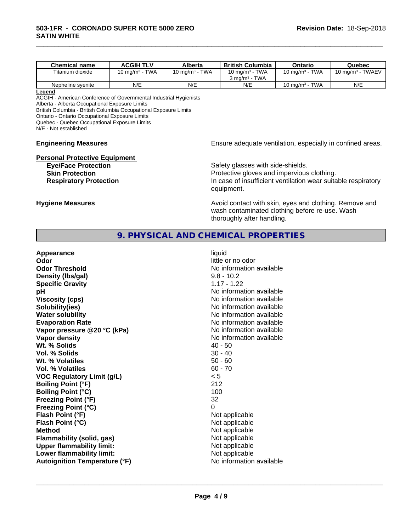| <b>Chemical name</b> | <b>ACGIH TLV</b>                     | Alberta                              | <b>British Columbia</b>                  | Ontario           | Quebec                          |
|----------------------|--------------------------------------|--------------------------------------|------------------------------------------|-------------------|---------------------------------|
| Titanium dioxide     | <b>TWA</b><br>10 mg/m <sup>3</sup> - | <b>TWA</b><br>10 mg/m <sup>3</sup> - | 10 mg/m $3$ - TWA                        | 10 mg/m $3$ - TWA | TWAEV<br>10 mg/m <sup>3</sup> - |
|                      |                                      |                                      | <b>TWA</b><br>$3 \text{ ma/m}^3$ $^{-1}$ |                   |                                 |
| Nepheline svenite    | N/E                                  | N/E                                  | N/E                                      | 10 mg/m $3$ - TWA | N/E                             |

\_\_\_\_\_\_\_\_\_\_\_\_\_\_\_\_\_\_\_\_\_\_\_\_\_\_\_\_\_\_\_\_\_\_\_\_\_\_\_\_\_\_\_\_\_\_\_\_\_\_\_\_\_\_\_\_\_\_\_\_\_\_\_\_\_\_\_\_\_\_\_\_\_\_\_\_\_\_\_\_\_\_\_\_\_\_\_\_\_\_\_\_\_

#### **Legend**

ACGIH - American Conference of Governmental Industrial Hygienists Alberta - Alberta Occupational Exposure Limits British Columbia - British Columbia Occupational Exposure Limits Ontario - Ontario Occupational Exposure Limits Quebec - Quebec Occupational Exposure Limits

N/E - Not established

# **Personal Protective Equipment**<br>**Eye/Face Protection**

## **Engineering Measures Engineering Measures Engineering Measures Ensure adequate ventilation, especially in confined areas.**

Safety glasses with side-shields. **Skin Protection Protection Protective gloves and impervious clothing. Respiratory Protection In case of insufficient ventilation wear suitable respiratory** equipment.

**Hygiene Measures Avoid contact with skin, eyes and clothing. Remove and Avoid contact with skin, eyes and clothing. Remove and** wash contaminated clothing before re-use. Wash thoroughly after handling.

#### **9. PHYSICAL AND CHEMICAL PROPERTIES**

| Appearance                           | liquid                   |
|--------------------------------------|--------------------------|
| Odor                                 | little or no odor        |
| <b>Odor Threshold</b>                | No information available |
| Density (Ibs/gal)                    | $9.8 - 10.2$             |
| <b>Specific Gravity</b>              | $1.17 - 1.22$            |
| рH                                   | No information available |
| <b>Viscosity (cps)</b>               | No information available |
| Solubility(ies)                      | No information available |
| <b>Water solubility</b>              | No information available |
| <b>Evaporation Rate</b>              | No information available |
| Vapor pressure @20 °C (kPa)          | No information available |
| Vapor density                        | No information available |
| Wt. % Solids                         | $40 - 50$                |
| Vol. % Solids                        | $30 - 40$                |
| Wt. % Volatiles                      | $50 - 60$                |
| Vol. % Volatiles                     | $60 - 70$                |
| <b>VOC Regulatory Limit (g/L)</b>    | < 5                      |
| <b>Boiling Point (°F)</b>            | 212                      |
| <b>Boiling Point (°C)</b>            | 100                      |
| <b>Freezing Point (°F)</b>           | 32                       |
| <b>Freezing Point (°C)</b>           | 0                        |
| Flash Point (°F)                     | Not applicable           |
| Flash Point (°C)                     | Not applicable           |
| <b>Method</b>                        | Not applicable           |
| Flammability (solid, gas)            | Not applicable           |
| <b>Upper flammability limit:</b>     | Not applicable           |
| Lower flammability limit:            | Not applicable           |
| <b>Autoignition Temperature (°F)</b> | No information available |
|                                      |                          |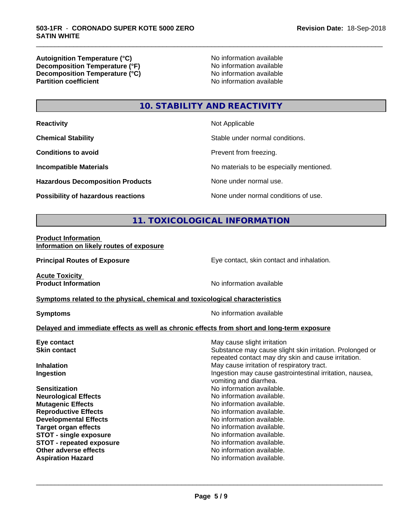**Autoignition Temperature (°C)**<br> **Decomposition Temperature (°F)** No information available **Decomposition Temperature (°F)**<br> **Decomposition Temperature (°C)**<br>
No information available **Decomposition Temperature (°C) Partition coefficient** 

\_\_\_\_\_\_\_\_\_\_\_\_\_\_\_\_\_\_\_\_\_\_\_\_\_\_\_\_\_\_\_\_\_\_\_\_\_\_\_\_\_\_\_\_\_\_\_\_\_\_\_\_\_\_\_\_\_\_\_\_\_\_\_\_\_\_\_\_\_\_\_\_\_\_\_\_\_\_\_\_\_\_\_\_\_\_\_\_\_\_\_\_\_

## **10. STABILITY AND REACTIVITY**

| <b>Reactivity</b>                         | Not Applicable                           |
|-------------------------------------------|------------------------------------------|
| <b>Chemical Stability</b>                 | Stable under normal conditions.          |
| <b>Conditions to avoid</b>                | Prevent from freezing.                   |
| <b>Incompatible Materials</b>             | No materials to be especially mentioned. |
| <b>Hazardous Decomposition Products</b>   | None under normal use.                   |
| <b>Possibility of hazardous reactions</b> | None under normal conditions of use.     |

#### **11. TOXICOLOGICAL INFORMATION**

#### **Product Information Information on likely routes of exposure**

**Principal Routes of Exposure Exposure** Eye contact, skin contact and inhalation.

**Acute Toxicity** 

**Product Information Internation International Contract Contract Area Mondaterry Area Mondaterry Area Mondaterry Area Mondaterry Area Mondaterry Area Mondaterry Area Mondaterry Area Mondaterry Area Mondaterry Area Mond** 

#### **Symptoms** related to the physical, chemical and toxicological characteristics

**Symptoms** No information available

#### **Delayed and immediate effects as well as chronic effects from short and long-term exposure**

| May cause slight irritation                                                                                     |
|-----------------------------------------------------------------------------------------------------------------|
| Substance may cause slight skin irritation. Prolonged or<br>repeated contact may dry skin and cause irritation. |
| May cause irritation of respiratory tract.                                                                      |
| Ingestion may cause gastrointestinal irritation, nausea,<br>vomiting and diarrhea.                              |
| No information available.                                                                                       |
| No information available.                                                                                       |
| No information available.                                                                                       |
| No information available.                                                                                       |
| No information available.                                                                                       |
| No information available.                                                                                       |
| No information available.                                                                                       |
| No information available.                                                                                       |
| No information available.                                                                                       |
| No information available.                                                                                       |
|                                                                                                                 |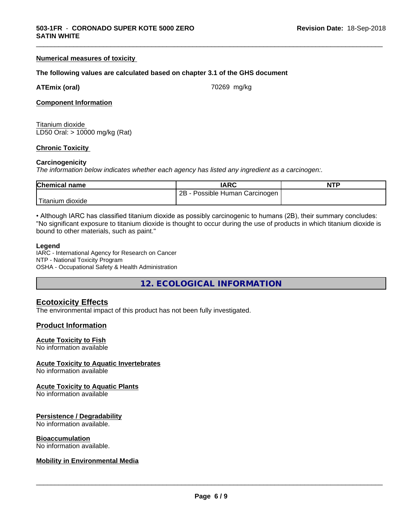#### **Numerical measures of toxicity**

#### **The following values are calculated based on chapter 3.1 of the GHS document**

|  | <b>ATEmix (oral)</b> |
|--|----------------------|
|  |                      |

**(oral) ATEMIX (oral) ATEMIX (oral) 70269** mg/kg

\_\_\_\_\_\_\_\_\_\_\_\_\_\_\_\_\_\_\_\_\_\_\_\_\_\_\_\_\_\_\_\_\_\_\_\_\_\_\_\_\_\_\_\_\_\_\_\_\_\_\_\_\_\_\_\_\_\_\_\_\_\_\_\_\_\_\_\_\_\_\_\_\_\_\_\_\_\_\_\_\_\_\_\_\_\_\_\_\_\_\_\_\_

#### **Component Information**

Titanium dioxide LD50 Oral: > 10000 mg/kg (Rat)

#### **Chronic Toxicity**

#### **Carcinogenicity**

*The information below indicateswhether each agency has listed any ingredient as a carcinogen:.*

| <b>Chemical name</b> | <b>IARC</b>                     | <b>NTP</b> |
|----------------------|---------------------------------|------------|
|                      | 2B<br>Possible Human Carcinogen |            |
| Titanium<br>dioxide  |                                 |            |

• Although IARC has classified titanium dioxide as possibly carcinogenic to humans (2B), their summary concludes: "No significant exposure to titanium dioxide is thought to occur during the use of products in which titanium dioxide is bound to other materials, such as paint."

#### **Legend**

IARC - International Agency for Research on Cancer NTP - National Toxicity Program OSHA - Occupational Safety & Health Administration

**12. ECOLOGICAL INFORMATION**

#### **Ecotoxicity Effects**

The environmental impact of this product has not been fully investigated.

#### **Product Information**

#### **Acute Toxicity to Fish**

No information available

#### **Acute Toxicity to Aquatic Invertebrates**

No information available

#### **Acute Toxicity to Aquatic Plants**

No information available

#### **Persistence / Degradability**

No information available.

#### **Bioaccumulation**

No information available.

#### **Mobility in Environmental Media**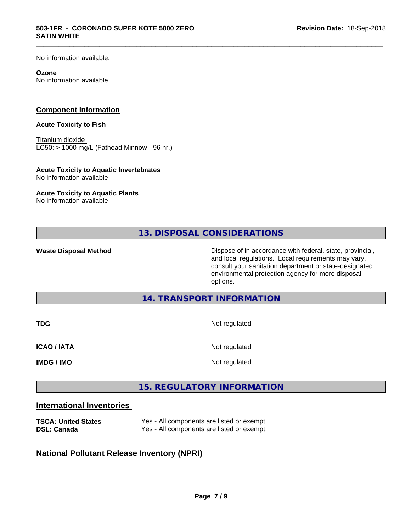No information available.

#### **Ozone**

No information available

#### **Component Information**

#### **Acute Toxicity to Fish**

Titanium dioxide  $LCS0:$  > 1000 mg/L (Fathead Minnow - 96 hr.)

#### **Acute Toxicity to Aquatic Invertebrates**

No information available

#### **Acute Toxicity to Aquatic Plants**

No information available

**13. DISPOSAL CONSIDERATIONS**

\_\_\_\_\_\_\_\_\_\_\_\_\_\_\_\_\_\_\_\_\_\_\_\_\_\_\_\_\_\_\_\_\_\_\_\_\_\_\_\_\_\_\_\_\_\_\_\_\_\_\_\_\_\_\_\_\_\_\_\_\_\_\_\_\_\_\_\_\_\_\_\_\_\_\_\_\_\_\_\_\_\_\_\_\_\_\_\_\_\_\_\_\_

**Waste Disposal Method** Dispose of in accordance with federal, state, provincial, and local regulations. Local requirements may vary, consult your sanitation department or state-designated environmental protection agency for more disposal options.

**14. TRANSPORT INFORMATION**

| <b>TDG</b>         | Not regulated |
|--------------------|---------------|
| <b>ICAO / IATA</b> | Not regulated |
| <b>IMDG / IMO</b>  | Not regulated |

#### **15. REGULATORY INFORMATION**

#### **International Inventories**

| <b>TSCA: United States</b> | Yes - All components are listed or exempt. |
|----------------------------|--------------------------------------------|
| <b>DSL: Canada</b>         | Yes - All components are listed or exempt. |

#### **National Pollutant Release Inventory (NPRI)**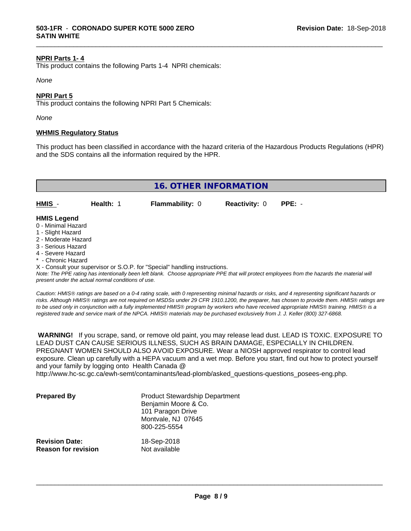#### **NPRI Parts 1- 4**

This product contains the following Parts 1-4 NPRI chemicals:

*None*

#### **NPRI Part 5**

This product contains the following NPRI Part 5 Chemicals:

*None*

#### **WHMIS Regulatory Status**

This product has been classified in accordance with the hazard criteria of the Hazardous Products Regulations (HPR) and the SDS contains all the information required by the HPR.

\_\_\_\_\_\_\_\_\_\_\_\_\_\_\_\_\_\_\_\_\_\_\_\_\_\_\_\_\_\_\_\_\_\_\_\_\_\_\_\_\_\_\_\_\_\_\_\_\_\_\_\_\_\_\_\_\_\_\_\_\_\_\_\_\_\_\_\_\_\_\_\_\_\_\_\_\_\_\_\_\_\_\_\_\_\_\_\_\_\_\_\_\_

| 16. OTHER INFORMATION                    |           |                        |                             |  |
|------------------------------------------|-----------|------------------------|-----------------------------|--|
| $HMIS -$                                 | Health: 1 | <b>Flammability: 0</b> | <b>Reactivity: 0 PPE: -</b> |  |
| <b>HMIS Legend</b><br>0 - Minimal Hazard |           |                        |                             |  |

- 
- 1 Slight Hazard
- 2 Moderate Hazard
- 3 Serious Hazard
- 4 Severe Hazard
- \* Chronic Hazard

X - Consult your supervisor or S.O.P. for "Special" handling instructions.

*Note: The PPE rating has intentionally been left blank. Choose appropriate PPE that will protect employees from the hazards the material will present under the actual normal conditions of use.*

*Caution: HMISÒ ratings are based on a 0-4 rating scale, with 0 representing minimal hazards or risks, and 4 representing significant hazards or risks. Although HMISÒ ratings are not required on MSDSs under 29 CFR 1910.1200, the preparer, has chosen to provide them. HMISÒ ratings are to be used only in conjunction with a fully implemented HMISÒ program by workers who have received appropriate HMISÒ training. HMISÒ is a registered trade and service mark of the NPCA. HMISÒ materials may be purchased exclusively from J. J. Keller (800) 327-6868.*

 **WARNING!** If you scrape, sand, or remove old paint, you may release lead dust. LEAD IS TOXIC. EXPOSURE TO LEAD DUST CAN CAUSE SERIOUS ILLNESS, SUCH AS BRAIN DAMAGE, ESPECIALLY IN CHILDREN. PREGNANT WOMEN SHOULD ALSO AVOID EXPOSURE.Wear a NIOSH approved respirator to control lead exposure. Clean up carefully with a HEPA vacuum and a wet mop. Before you start, find out how to protect yourself and your family by logging onto Health Canada @

http://www.hc-sc.gc.ca/ewh-semt/contaminants/lead-plomb/asked\_questions-questions\_posees-eng.php.

| <b>Prepared By</b>                                  | <b>Product Stewardship Department</b><br>Benjamin Moore & Co.<br>101 Paragon Drive<br>Montvale, NJ 07645<br>800-225-5554 |  |
|-----------------------------------------------------|--------------------------------------------------------------------------------------------------------------------------|--|
| <b>Revision Date:</b><br><b>Reason for revision</b> | 18-Sep-2018<br>Not available                                                                                             |  |